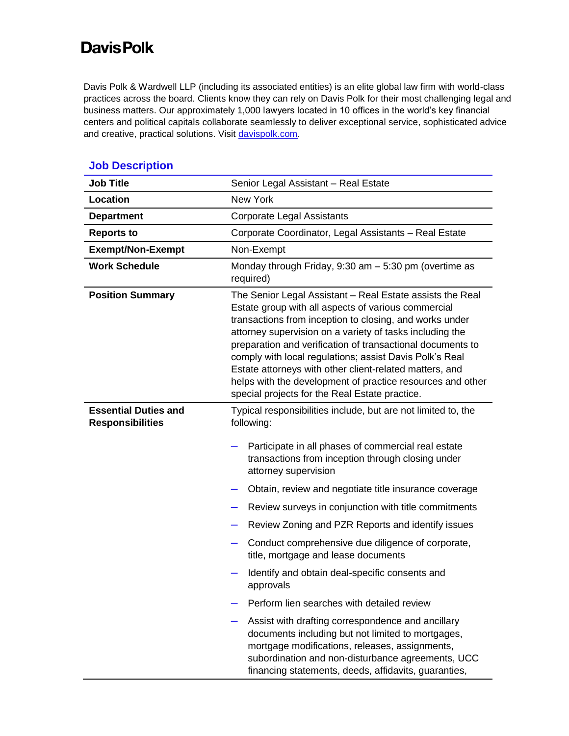## **DavisPolk**

Davis Polk & Wardwell LLP (including its associated entities) is an elite global law firm with world-class practices across the board. Clients know they can rely on Davis Polk for their most challenging legal and business matters. Our approximately 1,000 lawyers located in 10 offices in the world's key financial centers and political capitals collaborate seamlessly to deliver exceptional service, sophisticated advice and creative, practical solutions. Visit [davispolk.com.](https://www.davispolk.com/)

| <b>Job Title</b>                                       | Senior Legal Assistant - Real Estate                                                                                                                                                                                                                                                                                                                                                                                                                                                                                                                                                                                                                                                                                                                                                                            |
|--------------------------------------------------------|-----------------------------------------------------------------------------------------------------------------------------------------------------------------------------------------------------------------------------------------------------------------------------------------------------------------------------------------------------------------------------------------------------------------------------------------------------------------------------------------------------------------------------------------------------------------------------------------------------------------------------------------------------------------------------------------------------------------------------------------------------------------------------------------------------------------|
| Location                                               | <b>New York</b>                                                                                                                                                                                                                                                                                                                                                                                                                                                                                                                                                                                                                                                                                                                                                                                                 |
| <b>Department</b>                                      | <b>Corporate Legal Assistants</b>                                                                                                                                                                                                                                                                                                                                                                                                                                                                                                                                                                                                                                                                                                                                                                               |
| <b>Reports to</b>                                      | Corporate Coordinator, Legal Assistants - Real Estate                                                                                                                                                                                                                                                                                                                                                                                                                                                                                                                                                                                                                                                                                                                                                           |
| <b>Exempt/Non-Exempt</b>                               | Non-Exempt                                                                                                                                                                                                                                                                                                                                                                                                                                                                                                                                                                                                                                                                                                                                                                                                      |
| <b>Work Schedule</b>                                   | Monday through Friday, $9:30$ am $-5:30$ pm (overtime as<br>required)                                                                                                                                                                                                                                                                                                                                                                                                                                                                                                                                                                                                                                                                                                                                           |
| <b>Position Summary</b>                                | The Senior Legal Assistant - Real Estate assists the Real<br>Estate group with all aspects of various commercial<br>transactions from inception to closing, and works under<br>attorney supervision on a variety of tasks including the<br>preparation and verification of transactional documents to<br>comply with local regulations; assist Davis Polk's Real<br>Estate attorneys with other client-related matters, and<br>helps with the development of practice resources and other<br>special projects for the Real Estate practice.                                                                                                                                                                                                                                                                     |
| <b>Essential Duties and</b><br><b>Responsibilities</b> | Typical responsibilities include, but are not limited to, the<br>following:<br>Participate in all phases of commercial real estate<br>transactions from inception through closing under<br>attorney supervision<br>Obtain, review and negotiate title insurance coverage<br>Review surveys in conjunction with title commitments<br>Review Zoning and PZR Reports and identify issues<br>Conduct comprehensive due diligence of corporate,<br>title, mortgage and lease documents<br>Identify and obtain deal-specific consents and<br>approvals<br>Perform lien searches with detailed review<br>Assist with drafting correspondence and ancillary<br>documents including but not limited to mortgages,<br>mortgage modifications, releases, assignments,<br>subordination and non-disturbance agreements, UCC |

## **Job Description**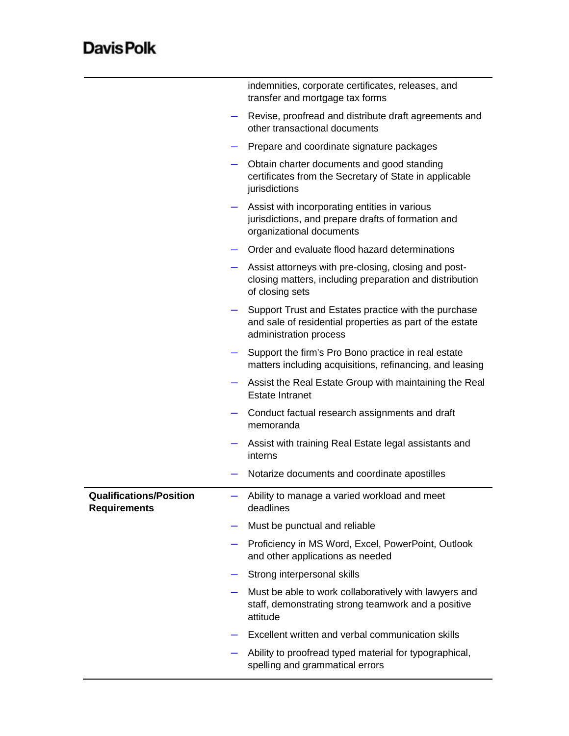## **DavisPolk**

|                                                       | indemnities, corporate certificates, releases, and<br>transfer and mortgage tax forms                                                      |
|-------------------------------------------------------|--------------------------------------------------------------------------------------------------------------------------------------------|
|                                                       | Revise, proofread and distribute draft agreements and<br>other transactional documents                                                     |
|                                                       | Prepare and coordinate signature packages                                                                                                  |
|                                                       | Obtain charter documents and good standing<br>certificates from the Secretary of State in applicable<br>jurisdictions                      |
|                                                       | Assist with incorporating entities in various<br>jurisdictions, and prepare drafts of formation and<br>organizational documents            |
|                                                       | Order and evaluate flood hazard determinations                                                                                             |
|                                                       | Assist attorneys with pre-closing, closing and post-<br>closing matters, including preparation and distribution<br>of closing sets         |
|                                                       | Support Trust and Estates practice with the purchase<br>and sale of residential properties as part of the estate<br>administration process |
|                                                       | Support the firm's Pro Bono practice in real estate<br>matters including acquisitions, refinancing, and leasing                            |
|                                                       | Assist the Real Estate Group with maintaining the Real<br><b>Estate Intranet</b>                                                           |
|                                                       | Conduct factual research assignments and draft<br>memoranda                                                                                |
|                                                       | Assist with training Real Estate legal assistants and<br>interns                                                                           |
|                                                       | Notarize documents and coordinate apostilles                                                                                               |
| <b>Qualifications/Position</b><br><b>Requirements</b> | Ability to manage a varied workload and meet<br>deadlines                                                                                  |
|                                                       | Must be punctual and reliable                                                                                                              |
| $\overline{\phantom{a}}$                              | Proficiency in MS Word, Excel, PowerPoint, Outlook<br>and other applications as needed                                                     |
|                                                       | Strong interpersonal skills                                                                                                                |
|                                                       | Must be able to work collaboratively with lawyers and<br>staff, demonstrating strong teamwork and a positive<br>attitude                   |
|                                                       | Excellent written and verbal communication skills                                                                                          |
|                                                       | Ability to proofread typed material for typographical,<br>spelling and grammatical errors                                                  |